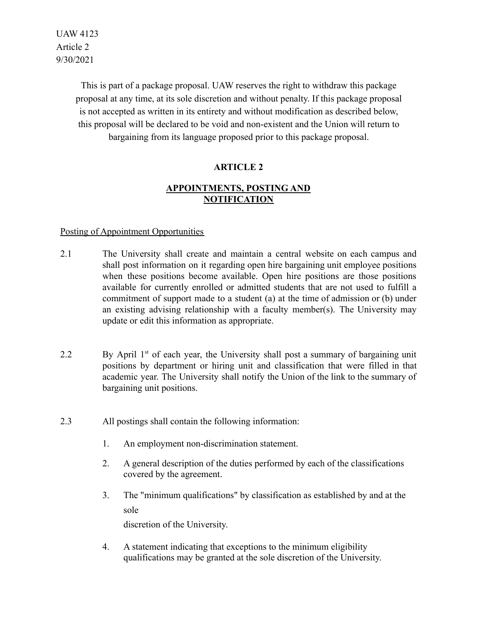> This is part of a package proposal. UAW reserves the right to withdraw this package proposal at any time, at its sole discretion and without penalty. If this package proposal is not accepted as written in its entirety and without modification as described below, this proposal will be declared to be void and non-existent and the Union will return to bargaining from its language proposed prior to this package proposal.

# **ARTICLE 2**

## **APPOINTMENTS, POSTING AND NOTIFICATION**

### Posting of Appointment Opportunities

- 2.1 The University shall create and maintain a central website on each campus and shall post information on it regarding open hire bargaining unit employee positions when these positions become available. Open hire positions are those positions available for currently enrolled or admitted students that are not used to fulfill a commitment of support made to a student (a) at the time of admission or (b) under an existing advising relationship with a faculty member(s). The University may update or edit this information as appropriate.
- 2.2 By April  $1<sup>st</sup>$  of each year, the University shall post a summary of bargaining unit positions by department or hiring unit and classification that were filled in that academic year. The University shall notify the Union of the link to the summary of bargaining unit positions.
- 2.3 All postings shall contain the following information:
	- 1. An employment non-discrimination statement.
	- 2. A general description of the duties performed by each of the classifications covered by the agreement.
	- 3. The "minimum qualifications" by classification as established by and at the sole

discretion of the University.

4. A statement indicating that exceptions to the minimum eligibility qualifications may be granted at the sole discretion of the University.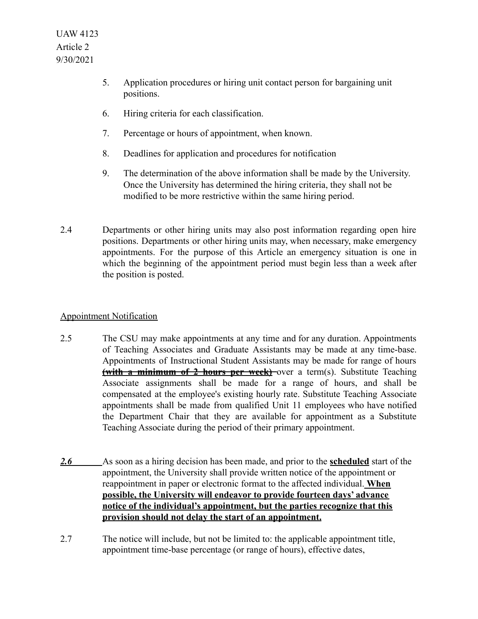- 5. Application procedures or hiring unit contact person for bargaining unit positions.
- 6. Hiring criteria for each classification.
- 7. Percentage or hours of appointment, when known.
- 8. Deadlines for application and procedures for notification
- 9. The determination of the above information shall be made by the University. Once the University has determined the hiring criteria, they shall not be modified to be more restrictive within the same hiring period.
- 2.4 Departments or other hiring units may also post information regarding open hire positions. Departments or other hiring units may, when necessary, make emergency appointments. For the purpose of this Article an emergency situation is one in which the beginning of the appointment period must begin less than a week after the position is posted.

### Appointment Notification

- 2.5 The CSU may make appointments at any time and for any duration. Appointments of Teaching Associates and Graduate Assistants may be made at any time-base. Appointments of Instructional Student Assistants may be made for range of hours **(with a minimum of 2 hours per week)** over a term(s). Substitute Teaching Associate assignments shall be made for a range of hours, and shall be compensated at the employee's existing hourly rate. Substitute Teaching Associate appointments shall be made from qualified Unit 11 employees who have notified the Department Chair that they are available for appointment as a Substitute Teaching Associate during the period of their primary appointment.
- *2.6* As soon as a hiring decision has been made, and prior to the **scheduled** start of the appointment, the University shall provide written notice of the appointment or reappointment in paper or electronic format to the affected individual. **When possible, the University will endeavor to provide fourteen days' advance notice of the individual's appointment, but the parties recognize that this provision should not delay the start of an appointment.**
- 2.7 The notice will include, but not be limited to: the applicable appointment title, appointment time-base percentage (or range of hours), effective dates,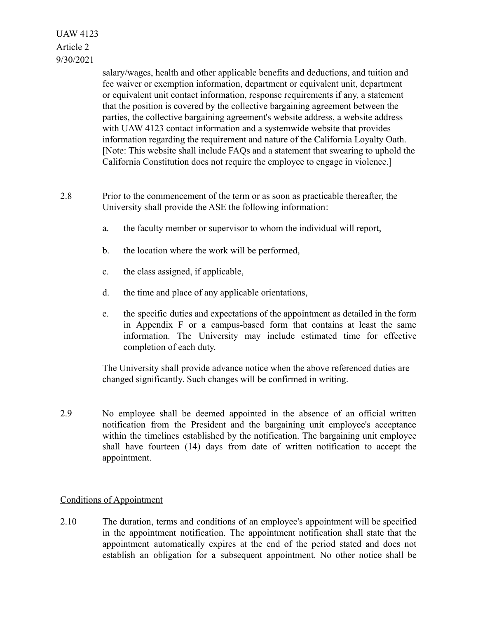> salary/wages, health and other applicable benefits and deductions, and tuition and fee waiver or exemption information, department or equivalent unit, department or equivalent unit contact information, response requirements if any, a statement that the position is covered by the collective bargaining agreement between the parties, the collective bargaining agreement's website address, a website address with UAW 4123 contact information and a systemwide website that provides information regarding the requirement and nature of the California Loyalty Oath. [Note: This website shall include FAQs and a statement that swearing to uphold the California Constitution does not require the employee to engage in violence.]

- 2.8 Prior to the commencement of the term or as soon as practicable thereafter, the University shall provide the ASE the following information:
	- a. the faculty member or supervisor to whom the individual will report,
	- b. the location where the work will be performed,
	- c. the class assigned, if applicable,
	- d. the time and place of any applicable orientations,
	- e. the specific duties and expectations of the appointment as detailed in the form in Appendix F or a campus-based form that contains at least the same information. The University may include estimated time for effective completion of each duty.

The University shall provide advance notice when the above referenced duties are changed significantly. Such changes will be confirmed in writing.

2.9 No employee shall be deemed appointed in the absence of an official written notification from the President and the bargaining unit employee's acceptance within the timelines established by the notification. The bargaining unit employee shall have fourteen (14) days from date of written notification to accept the appointment.

### Conditions of Appointment

2.10 The duration, terms and conditions of an employee's appointment will be specified in the appointment notification. The appointment notification shall state that the appointment automatically expires at the end of the period stated and does not establish an obligation for a subsequent appointment. No other notice shall be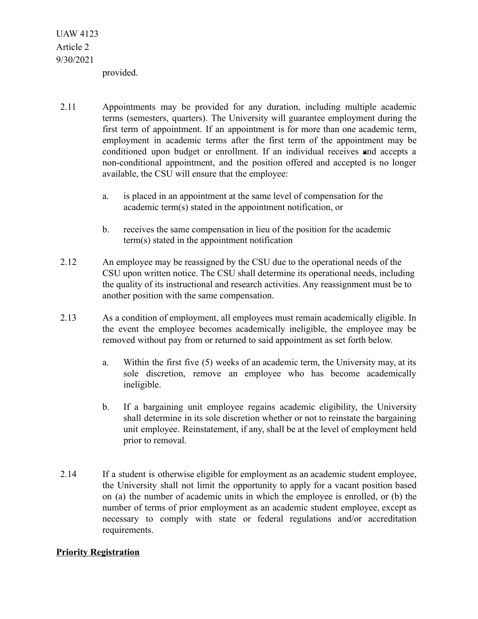provided.

- 2.11 Appointments may be provided for any duration, including multiple academic terms (semesters, quarters). The University will guarantee employment during the first term of appointment. If an appointment is for more than one academic term, employment in academic terms after the first term of the appointment may be conditioned upon budget or enrollment. If an individual receives and accepts a non-conditional appointment, and the position offered and accepted is no longer available, the CSU will ensure that the employee:
	- a. is placed in an appointment at the same level of compensation for the academic term(s) stated in the appointment notification, or
	- b. receives the same compensation in lieu of the position for the academic term(s) stated in the appointment notification
- 2.12 An employee may be reassigned by the CSU due to the operational needs of the CSU upon written notice. The CSU shall determine its operational needs, including the quality of its instructional and research activities. Any reassignment must be to another position with the same compensation.
- 2.13 As a condition of employment, all employees must remain academically eligible. In the event the employee becomes academically ineligible, the employee may be removed without pay from or returned to said appointment as set forth below.
	- a. Within the first five (5) weeks of an academic term, the University may, at its sole discretion, remove an employee who has become academically ineligible.
	- b. If a bargaining unit employee regains academic eligibility, the University shall determine in its sole discretion whether or not to reinstate the bargaining unit employee. Reinstatement, if any, shall be at the level of employment held prior to removal.
- 2.14 If a student is otherwise eligible for employment as an academic student employee, the University shall not limit the opportunity to apply for a vacant position based on (a) the number of academic units in which the employee is enrolled, or (b) the number of terms of prior employment as an academic student employee, except as necessary to comply with state or federal regulations and/or accreditation requirements.

### **Priority Registration**